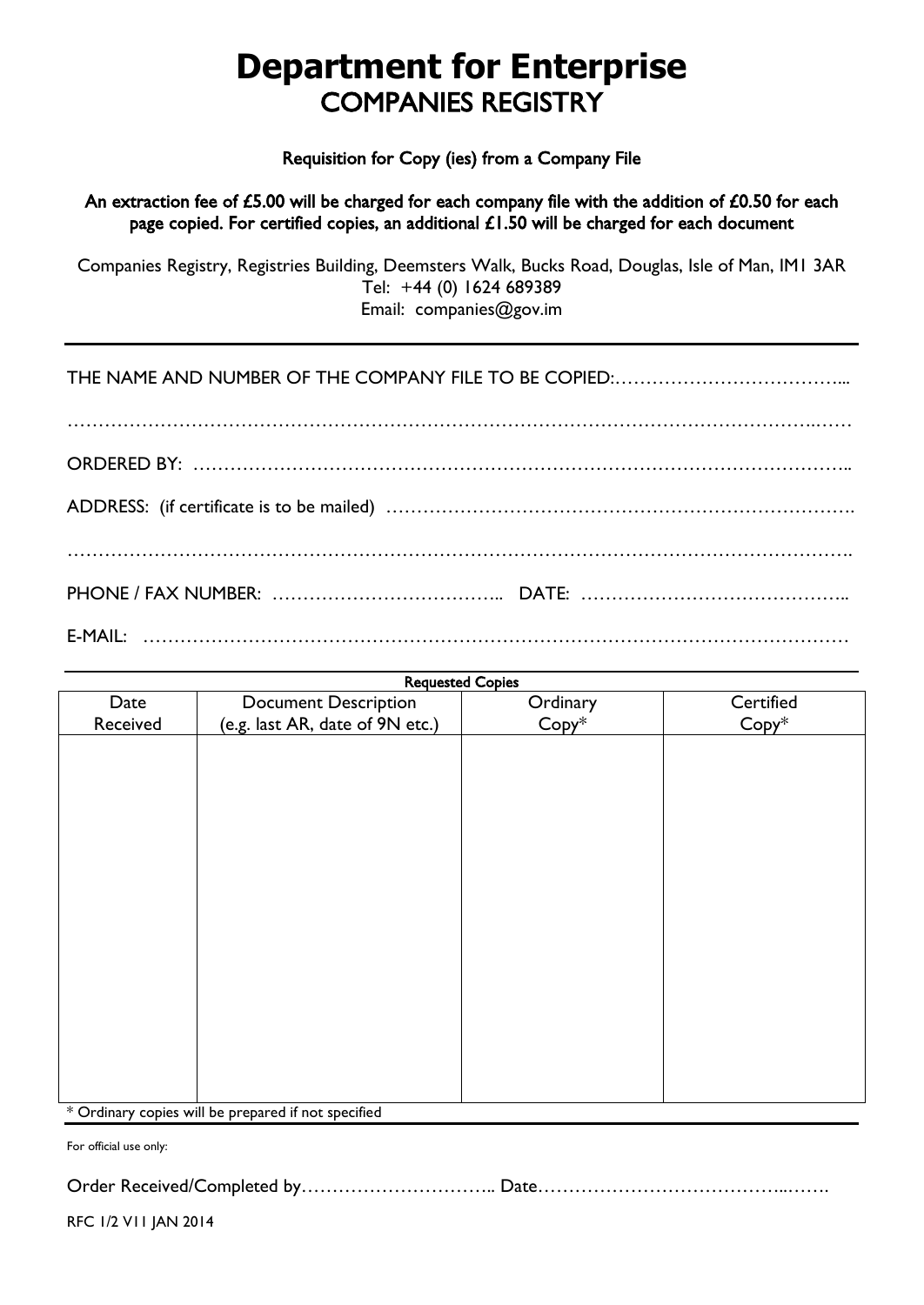## **Department for Enterprise** COMPANIES REGISTRY

Requisition for Copy (ies) from a Company File

An extraction fee of £5.00 will be charged for each company file with the addition of £0.50 for each page copied. For certified copies, an additional  $£1.50$  will be charged for each document

Companies Registry, Registries Building, Deemsters Walk, Bucks Road, Douglas, Isle of Man, IM1 3AR Tel: +44 (0) 1624 689389 Email: companies@gov.im

THE NAME AND NUMBER OF THE COMPANY FILE TO BE COPIED:………………………………...

………………………………………………………………………………………………………….…… ORDERED BY: …………………………………………………………………………………………….. ADDRESS: (if certificate is to be mailed) …………………………………………………………………. ………………………………………………………………………………………………………………. PHONE / FAX NUMBER: ……………………………….. DATE: …………………………………….. E-MAIL: ……………………………………………………………………………………………………

| <b>Requested Copies</b> |                                                       |          |           |
|-------------------------|-------------------------------------------------------|----------|-----------|
| Date                    | <b>Document Description</b>                           | Ordinary | Certified |
| Received                | (e.g. last AR, date of 9N etc.)                       | Copy*    | Copy*     |
|                         |                                                       |          |           |
|                         |                                                       |          |           |
|                         |                                                       |          |           |
|                         |                                                       |          |           |
|                         |                                                       |          |           |
|                         |                                                       |          |           |
|                         |                                                       |          |           |
|                         |                                                       |          |           |
|                         |                                                       |          |           |
|                         |                                                       |          |           |
|                         |                                                       |          |           |
|                         |                                                       |          |           |
|                         |                                                       |          |           |
|                         |                                                       |          |           |
|                         |                                                       |          |           |
|                         |                                                       |          |           |
|                         |                                                       |          |           |
|                         |                                                       |          |           |
|                         | $*$ Ordinary copies will be prepared if not specified |          |           |

Ordinary copies will be prepared if not specified

For official use only:

Order Received/Completed by………………………….. Date…………………………………..…….

RFC 1/2 V11 JAN 2014